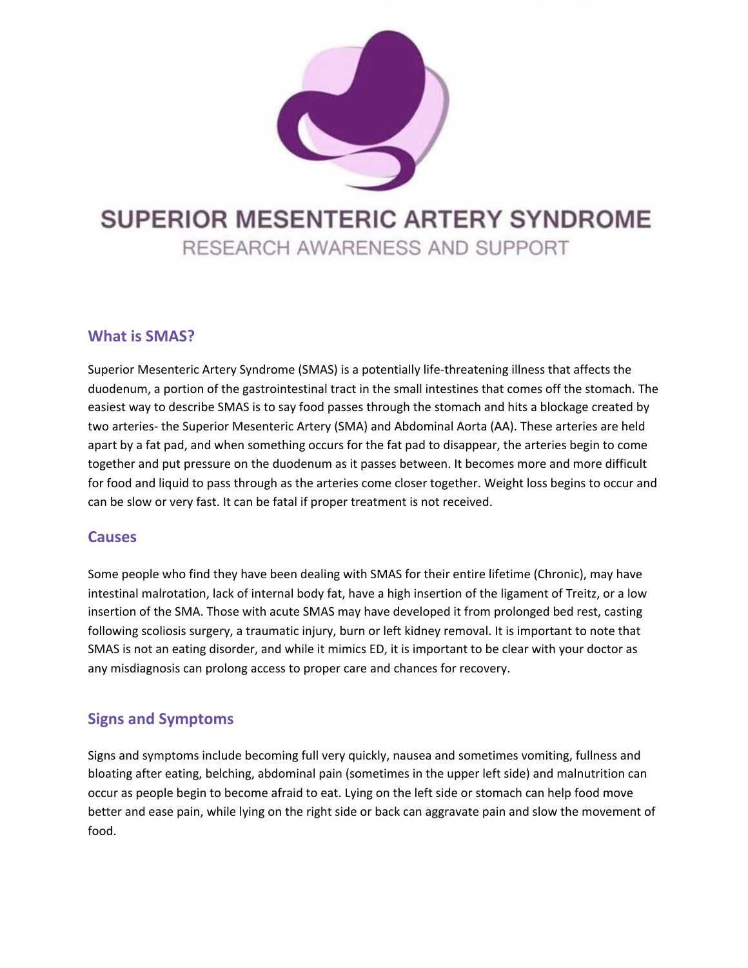

# **SUPERIOR MESENTERIC ARTERY SYNDROME**

RESEARCH AWARENESS AND SUPPORT

## **What is SMAS?**

Superior Mesenteric Artery Syndrome (SMAS) is a potentially life-threatening illness that affects the duodenum, a portion of the gastrointestinal tract in the small intestines that comes off the stomach. The easiest way to describe SMAS is to say food passes through the stomach and hits a blockage created by two arteries- the Superior Mesenteric Artery (SMA) and Abdominal Aorta (AA). These arteries are held apart by a fat pad, and when something occurs for the fat pad to disappear, the arteries begin to come together and put pressure on the duodenum as it passes between. It becomes more and more difficult for food and liquid to pass through as the arteries come closer together. Weight loss begins to occur and can be slow or very fast. It can be fatal if proper treatment is not received.

## **Causes**

Some people who find they have been dealing with SMAS for their entire lifetime (Chronic), may have intestinal malrotation, lack of internal body fat, have a high insertion of the ligament of Treitz, or a low insertion of the SMA. Those with acute SMAS may have developed it from prolonged bed rest, casting following scoliosis surgery, a traumatic injury, burn or left kidney removal. It is important to note that SMAS is not an eating disorder, and while it mimics ED, it is important to be clear with your doctor as any misdiagnosis can prolong access to proper care and chances for recovery.

## **Signs and Symptoms**

Signs and symptoms include becoming full very quickly, nausea and sometimes vomiting, fullness and bloating after eating, belching, abdominal pain (sometimes in the upper left side) and malnutrition can occur as people begin to become afraid to eat. Lying on the left side or stomach can help food move better and ease pain, while lying on the right side or back can aggravate pain and slow the movement of food.